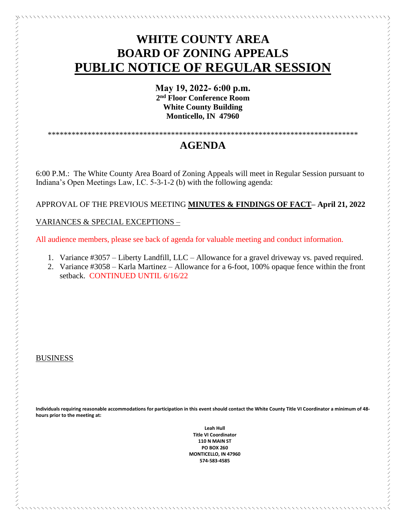## **WHITE COUNTY AREA BOARD OF ZONING APPEALS PUBLIC NOTICE OF REGULAR SESSION**

**May 19, 2022- 6:00 p.m. 2 nd Floor Conference Room White County Building Monticello, IN 47960**

\*\*\*\*\*\*\*\*\*\*\*\*\*\*\*\*\*\*\*\*\*\*\*\*\*\*\*\*\*\*\*\*\*\*\*\*\*\*\*\*\*\*\*\*\*\*\*\*\*\*\*\*\*\*\*\*\*\*\*\*\*\*\*\*\*\*\*\*\*\*\*\*\*\*\*\*\*\*

### **AGENDA**

6:00 P.M.: The White County Area Board of Zoning Appeals will meet in Regular Session pursuant to Indiana's Open Meetings Law, I.C. 5-3-1-2 (b) with the following agenda:

#### APPROVAL OF THE PREVIOUS MEETING **MINUTES & FINDINGS OF FACT– April 21, 2022**

#### VARIANCES & SPECIAL EXCEPTIONS –

All audience members, please see back of agenda for valuable meeting and conduct information.

- 1. Variance #3057 Liberty Landfill, LLC Allowance for a gravel driveway vs. paved required.
- 2. Variance #3058 Karla Martinez Allowance for a 6-foot, 100% opaque fence within the front setback. CONTINUED UNTIL 6/16/22

BUSINESS

**Individuals requiring reasonable accommodations for participation in this event should contact the White County Title VI Coordinator a minimum of 48 hours prior to the meeting at:**

> **Leah Hull Title VI Coordinator 110 N MAIN ST PO BOX 260 MONTICELLO, IN 47960 574-583-4585**